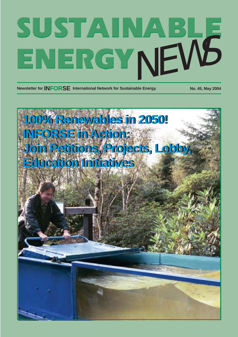# SUSTAINABLE

**Newsletter for INFORSE** International Network for Sustainable Energy. No. 45, May 2004

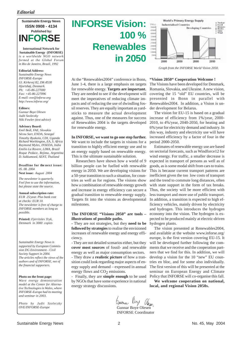## *Editorial*



**International Network for Sustainable Energy (INFORSE)** *is a worldwide NGO network formed at the Global Forum in Rio de Janeiro, Brazil, 1992*

#### **Editorial Address:**

*Sustainable Energy News INFORSE-Europe Gl. Kirkevej 82, DK-8530 Hjortshøj, Denmark. Ph: +45-86-227000 Fax: +45-86-227096 E-mail: ove@inforse.org http://www.inforse.org/*

#### **Editors:**

*Gunnar Boye Olesen Judit Szoleczky Niki Fowler (text advice)*

#### **Advisory Board:**

*Emil Bedi, FAE, Slovakia Sécou Sarr, ENDA, Senegal Timothy Byakola, CDI, Uganda Richard Worthington, EA, S. Africa Raymond Myles, INSEDA, India Emilio La Rovere, LIMA, Brazil Roque Pedace, Rejima, Argentina D. Sukkumoed, SENT, Thailand*

#### **Deadline for the next issue:** *05. 08. 2004* **Next issue:** *August 2004*

*The newsletter is quarterly. Feel free to use the information,*

## *but please state the source.* **Annual subscription rate:**

*EUR 25/year. Plus bank cost at checks: EUR 10. The newsletter is free of charge to INFORSE members as long as possible.*

**Printed:** *Fjerritslev Tryk, Denmark in 3000 copies*

*Sustainable Energy News is supported by European Commission DG Environment - Civil Society Support in 2004. The articles reflect the views of the authors and of INFORSE, not of the financial supporters.*

#### **Photo on the front page:**

*Wave energy demonstration model at the Center for Alternative Technologies in Wales, where INFORSE-Europe had its meeting and seminar in 2003.*

*Photo by Judit Szoleczky OVE/INFORSE-Europe*

# **INFORSE Vision: 100 % Renewables in 2050**

At the "Renewables2004" conference in Bonn, June 1-4, there is a large emphasis on targets for renewable energy. **Targets are important.** They are needed to see if the development will meet the imperatives of reducing climate impacts and of reducing the use of dwindling fossil reserves. They are equally important as yardsticks to measure the actual development against. Thus, one of the measures for success of Renewables 2004 is the targets developed for renewable energy.

## **In INFORSE, we want to go one step further.**

We want to include the targets in visions for a transition to highly efficient energy use and to an energy supply based on renewable energy. This is the ultimate sustainable solution.

Researchers have shown how a world of 9 billion people can be fuelled with renewable energy in 2050. We are developing visions for a 50-year transition to such a situation, for countries as well as for regions. The visions show how a combination of renewable energy growth and increase in energy efficiency can secure a gradual transition to renewable energy supply. Targets fit into the visions as developmental milestones.

## **The INFORSE "Visions 2050" are tools – illustrations of possible paths.**

**-** They are not strategies, but they **need to be followed by strategies** to realise the envisioned increases of renewable energy and energy efficiency.

- They are not detailed scenarios either, but they **cover most sources** of fossil- and renewable energy as well as major consumption sectors. - They draw a **realistic picture** of how a transition could look regarding major aspects of energy supply and demand – expressed in annual energy flows and  $CO<sub>2</sub>$  emissions.<br>- Finally they are **simple enoug** 

- Finally, they are **simple enough** to be used by NGOs that have some experience in national energy strategy discussions.



*Graph from the INFORSE World Vision 2050.*

#### **"Vision 2050" Cooperation Welcome !**

The Visions have been developed for Denmark, Romania, Slovakia, and Ukraine. A new vision, covering the 15 "old" EU countries, will be presented in Bonn in parallel with Renewables2004. In addition, a Vision is under development for Belarus.

The vision for EU-15 is based on a gradual increase of efficiency from 1%/year, 2000- 2010, to 4%/year, 2040-2050, for heating and 6%/year for electricity demand and industry. In this way, industry and electricity use will have increased efficiency by a factor of four in the period 2000-2050.

Estimates of renewable energy use are based on sectorial forecasts, such as Windforce12 for wind energy. For traffic, a smaller decrease is expected in transport of persons as well as of goods, as is some modal shift from cars to trains. This is because current transport patterns are inefficient given the too low costs of transport and the trend to commute long distances, often with state support in the form of tax breaks. Thus, the society will be more efficient with less transport and more use of public transport. In addition, a transition is expected to high efficiency vehicles, mainly driven by electricity and hydrogen. This introduces the hydrogen economy into the vision. The hydrogen is expected to be produced mainly at electric-driven hydrogen plants.

The vision presented at Renewables2004, and available at the website www.inforse.org/ europe, is the first version covering EU-15. It will be developed further following the comments that we receive and the cooperation partners that we find for this. In addition, we will develop a vision for the 10 "new" EU countries en bloc, and for some also individually. The first version of this will be presented at the seminar on European Energy and Climate Policy that INFORSE will co-organise this fall.

**We welcome cooperation on national, local, and regional Vision 2050s.**

barra Boye Olean<br>Gunnar Boye Olesen

INFORSE Coordinator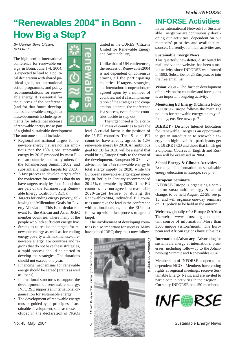# **"Renewables 2004" in Bonn - How Big a Step?**

*By Gunnar Boye Olesen, INFORSE*

The high-profile international conference for renewable energy in Bonn, June 1-4, 2004, is expected to lead to a political declaration with shared political goals, an international action programme, and policy recommendations for renewable energy. It is essential for the success of the conference (and for that future development of renewable energy) that these documents include agreements for substantial increase of renewable energy use as part

of a global sustainable development. The outcome should include:

- Regional and national targets for renewable energy that are not less ambitious than the 15% global renewable energy by 2015 proposed by most European countries and many others for the Johannesburg Summit 2002, and substantially higher targets for 2020.
- A fast process to develop targets after the conference for countries that do no have targets ready by June 1, and that are part of the Johannesburg Renewable Energy Coalition (JREC).
- Targets for ending energy poverty, following the Millennium Goals for Poverty Alleviation. This is particular relevant for the African and Asian JREC member countries, where many of the people who lack sufficient energy live.
- Strategies to realise the targets for renewable energy as well as for ending energy poverty with maximal use of renewable energy. For countries and regions that do not have these strategies, a rapid process should be started to develop the strategies. The durations should not exceed one year.
- Financing mechanisms for renewable energy should be agreed (grants as well as loans).
- International structures to support the development of renewable energy. INFORSE supports an international organisation for sustainable energy.
- The development of renewable energy must be guided by the principles of sustainable development, such as those included in the declaration of NGOs



united in the CURES (Citizens United for Renewable Energy and Sustainability).

Unlike that of UN conferences, the success of Renewables2004 is not dependent on consensus among all the participating countries. If targets, strategies, and international cooperation are agreed upon by a number of countries, and if a fast implementation of the strategies and cooperation is started, the conference is a success, even if some countries decide to step out.

The urgent need is for a critical mass of countries to take the

lead. A crucial factor is the position of the 25 EU countries. The 15 "old" EU countries have already agreed to 12% renewable energy by 2010. An ambitious goal for EU for 2020 will be a signal that could bring Europe firmly to the front of the development. European NGOs have advocated for 25% renewable energy in total energy supply by 2020, while the European renewable-energy expert meeting in Berlin in January recommended 20-25% renewables by 2020. If the EU countries have not agreed to a reasonable 2020-target before or during the Renewables2004, individual EU countries must take the lead in the conference with national targets, and the EU must follow-up with a fast process to agree a target.

The involvement of developing countries is also important for success. Many have joined JREC; they must now follow-



## **INFORSE Activities**

In the International Network for Sustainable Energy we are continuously developing our activities, dependent on our members' priorities and available resources. Currently, our main activities are:

## **Sustainable Energy News**

This quarterly newsletter, distributed by mail and via the website, has been a major activity since INFORSE was formed in 1992. Subscribe for 25 Eur/year, or join the free email list.

**Vision 2050** - The further development of this vision for countries and for regions is an important ongoing activity.

**Monitoring EU Energy & Climate Policy** INFORSE-Europe follows the main EU policies for renewable energy, energy efficiency, etc. See news p. 7 .

**DIERET** - Distance Internet Education for Renewable Energy is an opportunity to get an introduction to renewable energy at a high level. All participants get the DIERET CD and those that finish get a diploma. Courses in English and Russian will be organised in 2004.

**School Energy & Climate Activities**

Exchange of information on sustainable energy education in Europe, see p. 8 .

## **European Seminars**

INFORSE-Europe is organising a seminar on sustainable energy & social change, to be held August 22-28, see p. 15, and will organise one-day seminars on EU policy to be held in the autumn.

**Websites, globally + for Europe & Africa** The website www.inforse.org is an important source of information. More than 3500 unique visitors/month. The European and African regions have sub-sites.

**International Advocacy** - Advocating for sustainable energy at international processes, including follow-up to the Johannesburg Summit and Renewables2004.

Membership of INFORSE is open to independent NGOs. Members have voting rights at regional meetings, receive Sustainable Energy News, and are invited to participate in activities in their region. Currently INFORSE has 150 members.

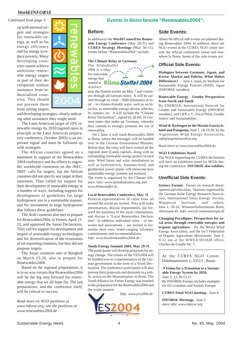up with national targets and strategies for renewable energy, as well as for energy efficiency and for energy to reduce poverty. Many developing countries cannot achieve ambitious renewable energy targets as part of their development without assistance from industrialised countries. This should not prevent them from setting targets



and developing strategies, clearly indicating what assistance they might need.

The Latin American target of 10% renewable energy by 2010 (agreed upon in principle at the Latin American preparatory conference, October 2003) is an important signal and must be followed up with strategies.

The African countries agreed on a statement in support of the Renewables 2004 conference and the efforts to engender worldwide consensus on the JREC. JREC calls for targets, but the African countries did not specify any target in their statement. They called for support for their development of renewable energy in a number of ways, including support for development of guidelines for large hydropower use in a sustainable manner, and for investment in large hydropower that follows these guidelines.

The Arab countries also met to prepare for Renewables2004, in Yemen, April 21- 22, and approved the Sanaá Declaration. They call for support for development and import of renewable energy technologies and for diversification of the economies of oil-exporting countries; but they did not propose targets.

The Asian countries met in Bangkok on March 25-26, also to prepare for Renewables2004.

Based on the regional preparations, it is in no way certain that Renewables2004 will be the big step forward for renewable energy that we all hope for. The last preparations, and the conference itself, will be critical to success.

*Read more on NGO positions at www.inforse.org; see the positions at www.renewables2004.de .*

## *Continued from page 3.* **Events in Bonn beside "Renewables2004":**

## **Before:**

In addition to the **World Council for Renewable Energy Conference** (May 29-31) and **CURES Strategy Meetings** (May 30-31), events before "Renewables2004" include:



The KlimaStaffel 2004 is a relay for renewable energy that started at Klima Staffel 2004 Artefact

near the Danish border on May 7 and continues through all German states. It will be carried through its route - 3600 kilometres in total - in climate-friendly ways, such as on bicycles, in renewable-energy-driven vehicles, by runners, etc. It will include the "Climate Relay Declaration", signed by all the 16 German states that make up Germany, whereby they commit to strongly promote the use of renewables.

On 1 June, it will reach Renewables 2004 in Bonn, where the messages will be handed over to the German Environment Minister. Before that, the relay will have visited all the regional state (Land) capitals, along with an outstanding renewable-energy project in each state. Wind farms and solar installations as well as hydroelectric, biomass-fired, and geothermal power plants will showcase how sustainable energy systems are realized. The event is organized by the Climate Alliance. Info: www.klimabuendnis.org and *www.klimastaffel.de.*

### **Local Renewables Conference, May 31**

Political representatives of cities from all around the world are invited. They will make presentations, discuss requirements, put forward the positions of the local communities, and discuss a "Local Renewables Declaration". In addition, individual cities – or networks and associations – are invited to formulate their own, wider-ranging voluntary commitments and recommendations. *Info: www.localrenewables2004.de .*

## **Youth Energy Summit 2004, May 29-31**

The participants will develop proposals for energy change. The results of the YES2004 will be handed over to a representative of the German government in the form of a Youth Declaration. The conference participants will also present their proposals and demands in a public action on the Muensterplatz in Bonn. The Youth Alliance for Future Energy was founded in the preparation for the Renewables2004 and the youth summit.



## **Side Events:**

About 60 official side events are planned during Renewables 2004. In addition, there are NGO events at the CURES NGO center outside the official conference venue and elsewhere in Bonn. Some of the side events are:

## **Official Side Events:**

**Dialogues between Germany, Japan, and Korea: Market and Policies, What Makes Differences?** - June 1, noon, by Institute for Sustainable Energy Policies (ISEP), Japan (INFORSE member).

#### **Renewable Energy - Gender Perspectives from North and South**

By ENERGIA, International Network for Gender and Sustainable Energy (INFORSE member), and LIFE e.V., Focal Point, Gender Justice and Sustainability.

**Wind & Hydrogen in the Martín García Island and Patagonia,** June 1, 18-19.30. by the Argentinian Wind Energy Association, *info@argentinaeolica.org*

*Read more at www.renewables2004.de.*

### **NGO Exhibitions Stand**

The NGOs supporting the CURES declaration will have an exhibition stand for NGOs during the conference. **INFORSE also exhibits.**

## **Unofficial Side Events:**

**Science Forum:** Forum on research development and education, Sessions organised by the German Solar Energy Research Association, International Solar Energy Society, Wuppertal Institute, and others. June 1, 10-18, Wissenschaftszentrum Bonn, Ahrstrasse 45. *Info: www.fv-sonnenenergie.de*

**Changing Paradigms: Perspectives for rural areas through renewable energies and organic agriculture** - By the World Wind Energy Association, and the Int'l Federation of Organic Agriculture Movements. June 2, 9-12 am at the WWEA/IFOAM office, Charles-de-Gaulle-Str. 5.

At the CURES NGO Center, Dahlmannstreet 1, 53113 , Bonn:

 **A Vision for a Transition to a Sustainable Energy System by 2050,** June 2, 12.30-13.15 By INFORSE-Europe, includes examples for EU-countries and Eastern Europe.

**CURES Final NGO meeting** , June 4

**INFORSE Meetings,** June 5 *more info: www.inforse.org*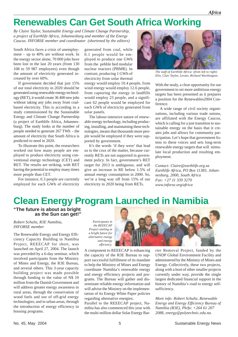# **Renewables Can Get South Africa Working**

*By Claire Taylor, Sustainable Energy and Climate Change Partnership, a project of Earthlife Africa, Johannesburg and member of the Energy Caucus. INFORSE member and coordinator (shortened by the editors)*

South Africa faces a crisis of unemployment – up to 40% are without work. In the energy sector alone, 70 000 jobs have been lost in the last 20 years (from 130 108 to 59 987 employees) even though the amount of electricity generated increased by over 60%.

If government decided that just 15% of our total electricity in 2020 should be generated using renewable energy technology (RET), it would create 36 400 new jobs without taking any jobs away from coalbased electricity. This is according to a study commissioned by the Sustainable Energy and Climate Change Partnership (a project of Earthlife Africa, Johannesburg). The study looks at the number of people needed to generate 267 TWh - the amount of electricity that South Africa is predicted to need in 2020.

To illustrate this point, the researchers worked out how many people are employed to produce electricity using conventional energy technology (CET) and RET. The results are striking, with RET having the potential to employ many times more people than CET.

For instance, 0.3 people are currently employed for each GWh of electricity generated from coal, while 0.1 people would be employed to produce one GWh from the pebble bed modular nuclear reactors (PBMR). In contrast, producing 1 GWh of electricity from solar thermal

energy would employ 10.4 people, from wind energy would employ 12.6 people, from capturing the energy in landfills would employ 23 people, and a significant 62 people would be employed for each GWh of electricity generated from solar panels.

The labour-intensive nature of renewable energy technology, including producing, installing, and maintaining these technologies, means that thousands more people would be employed if they were supported by government.

It's the words 'if they were' that lead us to the crux of the matter, because currently RETs are not supported in government policy. In fact, government's RET target for 2013 is ambiguous, and will give an increase in RE below 1.5% of annual energy consumption in 2000. So, we're a long way off from 15% of our electricity in 2020 being from RETs.



*The staff of Earthlife Africa: (from left to right) Elin, Clair Taylor, Lerato, Richard Worthington*

With the study, a clear opportunity for our government to set more ambitious energy targets has been presented as it prepares a position for the Renewables2004 Conference.

A wide range of civil society organizations, including various trade unions, are affiliated with the Energy Caucus, which is calling for a just transition to sustainable energy on the basis that it creates jobs and allows for community participation. Let's hope that government listens to these voices and sets long-term renewable energy targets that will stimulate local production and resulting employment.

*Contact: Claire@earthlife.org.za Earthlife Africa, PO Box 11383, Johannesburg, 2000, South Africa Fax: +27 11 339 3270 www.inforse.org/africa*

## **Clean Energy Program Launched in Namibia**

**"The future is about as bright as the Sun can get!"**

*Robert Schultz, R3E Namibia, INFORSE member*

The Renewable Energy and Energy Efficiency Capacity Building in Namibia Project, REEECAP for short, was launched on April 27, 2004. The launch was preceded by a 6-day seminar, which involved participants from the Ministry of Mines and Energy, the R3E Bureau, and several others. This 3-year capacity building project was made possible through funding to the value of N\$ 10 million from the Danish Government and will address greater energy awareness in rural areas, through the conservation of wood fuels and use of off-grid energy technologies; and in urban areas, through the introduction of energy efficiency in housing programs.

*Participants in the REEECAP Project smiling at a bright future for alternative energy and energy efficiency.*



A component to REEECAP is enhancing the capacity of the R3E Bureau to support successful fulfillment of its mandate to help the Ministry of Mines and Energy coordinate Namibia's renewable energy and energy efficiency projects and programs. The Bureau will gather and disseminate reliable energy information and will advise the Ministry on the implementation of its Energy White Paper policies regarding alternative energies.

Parallel to the REEECAP project, Namibia has also commenced this year with the multi-million dollar Solar Energy Barrier Removal Project, funded by the UNDP Global Environment Facility and administered by the Ministry of Mines and Energy. Collectively, these two projects, along with a host of other smaller projects currently under way, provide the single largest dedicated financial support in the history of Namibia's road to energy selfsufficiency.

*More info: Robert Schultz, Renewable Energy and Energy Efficiency Bureau of Namibia (R3E), Ph/fa: +264 61 207 2088, energy@polytechnic.edu.na.*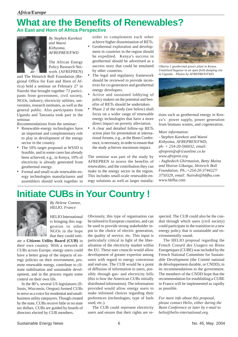## **What are the Benefits of Renewables? An East and Horn of Africa Perspective**



*By Stephen Karekezi and Waeni Kithyoma, AFREPREN/FWD*

The African Energy Policy Research Network (AFREPREN)

and The Heinrich Boll Foundation (Regional Office for East and Horn of Africa) held a seminar on February 27 in Nairobi that brought together 73 participants from government, civil society, NGOs, industry, electricity utilities, universities, research institutes, as well as the general public. Also participants from Uganda and Tanzania took part in the seminar.

Recommendations from the seminar:

- Renewable-energy technologies have an important and complementary role to play in development of the energy sector in the country.
- The 10% target proposed at WSSD is feasible, and in some cases has already been achieved; e.g., in Kenya, 10% of electricity is already generated from geothermal energy.
- Formal and small-scale renewable-energy technologies manufacturers and assemblers should work together in

order to complement each other achieve higher dissemination of RETs.

- Geothermal exploration and development in countries in the region should be expedited. Kenya's success in geothermal should be advertised as a success story that could be emulated by other countries.
- The legal and regulatory framework should be reviewed to provide incentives for co-generators and geothermal energy developers.
- Active and sustained lobbying of policy makers on the potential and benefits of RETs should be undertaken.
- Phase 2 of the study (see below) shall focus on a wider range of renewable energy technologies that have a more direct impact on poverty alleviation.
- A clear and detailed follow-up RETs action plan for presentation at international forums, e.g., at the Bonn Conference, is necessary, in order to ensure that the study achieves maximum impact.

The seminar was part of the study by AFREPREN to assess the benefits of renewables, and the contribution they can make to the energy sector in the region. This includes small-scale renewable-energy solutions as well as larger installa-



*Olkaria 1 geothermal power plant in Kenya. Unutilized bagasse in an open field dumping site in Uganda. Photos by AFREPREN/FWD.*



tions such as geothermal energy in Kenya's power supply, power generation from biomass wastes, and cogeneration.

*More information:*

*- Stephen Karekezi and Waeni Kithyoma, AFREPREN/FWD, ph: + 254-20-566032, email: afrepren@africaonline.co.ke www.afrepren.org* - *Asghedech Ghirmazion, Betty Maina and Hezron Gikanga, Heinrich Boll Foundation, Ph.:+254-20-3744227/ 3750329, email: Nairobi@hbfha.com* www.hbfha.com

# **Initiate CUBs in Your Country !**



*By Helene Connor, HELIO, France*

HELIO International is bringing this suggestion to other NGOs in the hope that they could initi-

ate a **Citizens Utility Board (CUB)** in their own country. With a network of CUBs across Europe, energy users could have a better grasp of the impacts of energy policies on their environment, promote renewable energy, contribute to climate stabilisation and sustainable development, and in the process regain some control on their own life.

In the 80's, several US legislatures (Illinois, Wisconsin, Oregon) formed CUBs to serve as a voice for residential and smallbusiness utility ratepayers. Though created by the state, CUBs receive little or no state tax dollars. CUBs are guided by boards of directors elected by CUB members.

Obviously, this type of organisation can be tailored to European countries, and can be used to provide strong stakeholder input to the choice of electric generation, the quality of service, etc. This input is particularly critical in light of the liberalisation of the electricity market within the EU. These user councils would allow development of greater expertise among users with regard to energy conversion and end-use. The CUB would be a point of diffusion of information to users, possibly through gas- and electricity bills (this is how the American CUBs initially distributed information). The information provided would allow energy users to make informed choices regarding their preferences (technologies, type of fuels used, etc.).

The CUB could represent electricity users and ensure that their rights are respected. The CUB could also be the conduit through which users (civil society) could participate in the transition to a new energy policy that is sustainable and environmentally sound.

The HELIO proposal regarding the French Conseil des Usagers en Biens Energetiques (CUBE) was included by the French National Committee for Sustainable Development (the Comité national de développement durable, or CNDD), in its recommendations to the government. The members of the CNDD hope that the recommendation for establishing a CUBE in France will be implemented as rapidly as possible.

*For more info about this proposal, please contact Helio, either during the Bonn Conference or later by e-mail to helio@helio-international.org.*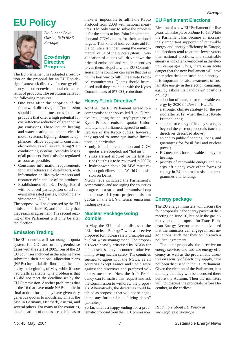# **EU Policy**



*By Gunnar Boye Olesen, INFORSE-Euroope*

## **Eco-design Directive Progress**

The EU Parliament has adopted a resolution on the proposal for an EU Eco-design framework directive for energy efficiency and other environmental characteristics of products. The resolution calls for the following measures:

- One year after the adoption of the framework directive, the Commission should implement measures for those products that offer a high potential for cost-effective reduction of greenhouse gas emissions. These include heating and water heating equipment, electric motor systems, lighting, domestic appliances, office equipment, consumer electronics, as well as ventilating & air conditioning systems. Stand-by losses of all products should also be regulated as soon as possible.
- Consumer information requirements for manufacturers and distributors, with information on life-cycle impacts and resource-efficient use of the products.
- Establishment of an Eco-Design Board with balanced participation of all relevant interested parties, including environmental NGOs.

The proposal will be discussed by the EU ministers on June 10, and it is likely that they reach an agreement. The second reading of the Parliament will only be after the election.

## **Emission Trading**

The EU countries will start using the quota system for  $CO<sub>2</sub>$  and other greenhouse gases with the start of 2005. Ten of the 23 EU countries included in the scheme have submitted their national allocation plans (NAPs) for initial distribution of the quotas by the beginning of May, while 6 more had drafts available. One problem is that 13 did not meet the deadline set by the EU Commission. Another problem is that of the 16 that have made NAPs public in final or draft form, many have given very generous quotas to industries. This is the case in Germany, Denmark, Austria, and several others. For many of the countries, the allocations of quotas are so high as to

make it impossible to fulfill the Kyoto Protocol from 2008 with national measures. The only way to solve the problem is for the states to buy Joint Implementation and CDM quotas for their national targets. This kind of indirect state aid for the polluters is undermining the environmental value of the quota system. Overallocation of quotas will drive down the price of emissions and reduce incentives to cut them. Hopefully, the EU Commission and the countries can agree that this is not the best way to fulfill the Kyoto Protocol commitments. Quotas should be reduced until they are in line with the Kyoto Commitments of 8%  $CO<sub>2</sub>$  reductions.

## **Heavy "Link Directive"**

April 20, the EU Parliament agreed to a compromise to the so-called 'Link Directive' regulating the industry's purchase of Kyoto Protocol emission quotas. Unfortunately, the Parliament agreed to unlimited use of the Kyoto quotas; however, they agreed to some qualitative limitations, in particular:

- only Joint Implementation and CDM quotas are accepted, not "hot air";
- sinks are not allowed for the first period (but this is to be reviewed in 2006);
- hydropower above 20 MW must respect guidelines of the World Commission on Dams.

NGOs have criticized the Parliament's compromise, and are urging the countries to agree to a strict and harmonised cap on the use of Kyoto project emission quotas in the EU's internal emissions trading system.

## **Nuclear Package Going Zombie**

In May, the EU ministers discussed the "EU Nuclear Package" with a directive proposed for nuclear safety principles and nuclear waste management. The proposals were heavily criticised by NGOs for being useless, or even counterproductive, in improving nuclear safety. The countries seemed to agree with the NGOs, as all countries except France and Spain were against the directives and preferred voluntary measures. Now the Irish Presidency can formalise this request and ask the Commission to withdraw the proposals. Alternatively, the directives could be tabled as proposals that will not be negotiated any further, i.e as "living deads" (zombies).

So far, this is a happy ending for a problematic proposal from the EU Commission.

## **EU Parliament Elections**

Election of a new EU Parliament for five years will take place on June 10-13. While the Parliament has become an increasingly important supporter of renewable energy and energy efficiency in Europe, the elections tend to attract fewer voters than national elections, and sustainable energy is too often overlooked in the election campaigns. Thus, there is an acute danger that the new Parliament will have other priorities than sustainable energy. It is important to raise awareness of sustainable energy in the election campaign, e.g., by asking the candidates' positions

on , e.g.: • adoption of a target for renewable en-

- ergy by 2020 of 25% for EU-25; • a stronger climate strategy for the period after 2012, when the first Kyoto Protocol ends;
- support for energy efficiency strategies beyond the current proposals (such as directives described above);
- an end to public financing, loans, and guarantees for fossil fuel and nuclear power;
- EU measures for renewable energy for heating;
- priority of renewable energy and energy efficiency over other forms of energy in EU external assistance programmes and lending.

## **Energy package**

The EU energy ministers will discuss the four proposals in the energy packet at their meeting on June 10, but only the gas directive and the proposal for Trans-European Energy Networks are so advanced that the ministers can engage in real negotiations, such that they could reach a political agreement.

The other proposals, the directive on energy services and end-use energy efficiency as well as the problematic directive on security of electricity supply, have not been discussed in the EU Parliament. Given the election of the Parliament, it is unlikely that they will be discussed there before the Autumn. Then the ministers will not discuss the proposals before December, at the earliest.

*Read more about EU Policy at www.inforse.org/europe*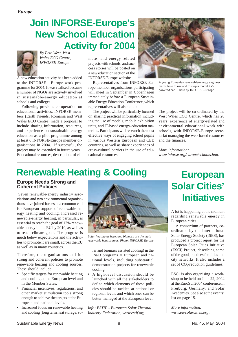# **Join INFORSE-Europe's New School Education Activity for 2004**



*By Pete West, West Wales ECO Centre, INFORSE-Europe*

A new education activity has been added to the INFORSE - Europe work programme for 2004. It was realised because a number of NGOs are actively involved in sustainable-energy education at schools and colleges.

Following previous co-operation on educational activities, INFORSE members (Earth Friends, Romania and West Wales ECO Centre) made a proposal to include sharing information, resources, and experience on sustainable-energy education as a pilot programme among at least 6 INFORSE-Europe member organisations in 2004. If successful, the project may be extended in future years. Educational resources, descriptions of climate- and energy-related projects with schools, and success stories will be posted on a new education section of the INFORSE-Europe website.

Representatives from INFORSE-Europe member organisations participating will meet in September in Copenhagen immediately before a European Sustainable Energy Education Conference, which representatives will also attend.

The project will be particularly focused on sharing practical information including the use of models, mobile exhibition units, and IT-based energy-education materials. Participants will research the most effective ways of engaging school pupils in various Western European and CEE countries, as well as share experiences of cross-cultural barriers in the use of educational resources.



A young Romanian renewable-energy engineer learns how to use and to stop a model PVpowered car ! Photo by INFORSE-Europe

The project will be co-ordinated by the West Wales ECO Centre, which has 20 years' experience of energy-related and environmental educational work with schools, with INFORSE-Europe secretariat managing the web-based resources and the finances.

*More information: www.inforse.org/europe/schools.htm.*

# **Renewable Heating & Cooling**

## **Europe Needs Strong and Coherent Policies**

 Seven renewable-energy industry associations and two environmental organisations have joined forces in a common call for European support of renewable-energy heating and cooling. Increased renewable-energy heating, in particular, is essential to reach the goal of 12% renewable energy in the EU by 2010, as well as to reach climate goals. The progress is much below expectations and the activities to promote it are small, across the EU as well as in many countries.

Therefore, the organisations call for strong and coherent policies to promote renewable heating and cooling sources. These should include:

- Specific targets for renewable heating and cooling at the European level and in the Member States.
- Financial incentives, regulations, and other market stimulation tools strong enough to achieve the targets at the European and national levels.
- Increased focus on renewable heating and cooling (long term heat storage, so-



*Solar heating as here, and biomass are the main renewable heat sources. Photo: INFORSE-Europe*

lar and biomass assisted cooling) in the R&D programs at European and national levels, including substantial demonstration projects for renewable cooling.

• A high-level discussion should be launched with all the stakeholders to define which elements of these policies should be tackled at national or regional levels and which ones can be better managed at the European level.

*Info: ESTIF - European Solar Thermal Industry Federation, www.estif.org .*

# **European Solar Cities' Initiatives**

A lot is happening at the moment regarding renewable energy in European cities.

A consortium of partners, coordinated by the International Solar Energy Society (ISES), has produced a project report for the European Solar Cities Initiative (ESCi) Project, describing some of the good practices for cities and city networks. It also includes a set of  $CO_2$ -reduction guidelines.

ESCi is also organising a workshop to be held on June 22, 2004 at the EuroSun2004 conference in Freiburg, Germany, and Solar Academies. See also at the events' list on page 15.

*More information: www.eu-solarcities.org .*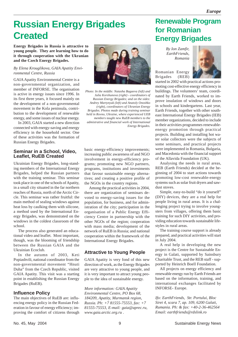# **Russian Energy Brigades Created**

**Energy Brigades in Russia is attractive to young people. They are learning how to do it through cooperation with the Ukranian and the Czech Energy Brigades.**

## *By Elena Krouglikova, GAIA Apatity Environmental Centre, Russia*

GAIA Apatity Environmental Centre is a non-governmental organization, and member of INFORSE. The organisation is active in energy issues since 1996. In its first three years, it focused mainly on the development of a non-governmental movement in the Kola peninsula, contribution to the development of renewable energy, and some issues of nuclear energy.

In 2003, GAIA started a new direction connected with energy-saving and energy efficiency in the household sector. One of these activities was the formation of Russian Energy Brigades.

## **Seminar in a School, Video, Leaflet, RuEB Created**

Ukrainian Energy Brigades, long-standing members of the International Energy Brigades, helped the Russian partners with the training seminar. This seminar took place in one of the schools of Apatity, in a small city situated in the far northern reaches of Russia, north of the Arctic Circle. This seminar was rather fruitful: the main method of sealing windows against heat loss by caulking them with silicone, a method used by the International Energy Brigades, was demonstrated on the windows in the coldest classroom of the school.

The process also generated an educational video and leaflet. Most important, though, was the blooming of friendship between the Russian GAIA and the Ukrainian Ecoclub.

In the autumn of 2003, Keti Popiashvili, national coordinator from the non-governmental movement "Hnuti Duha" from the Czech Republic, visited GAIA Apatity. This visit was a starting point in establishing the Russian Energy Brigades (RuEB).

## **Influence Policy**

The main objectives of RuEB are: influencing energy policy in the Russian Federation in favour of energy efficiency; improving the comfort of citizens through



*Photo: In the middle: Natasha Bagaeva (left) and Julia Korshunova (right) - coordinators of Russian Energy Brigades; and on the sides: Andrey Martynyuk (left) and Anatoly Onoshko (right), coordinators of Ukranian Energy Brigades. Photos made during training seminar held in Rovno, Ukraine, where experienced UEB members taught new RuEB members to the admistrative and financial work of International Energy Brigades.*

basic energy-efficiency improvements; increasing public awareness of and NGO involvement in energy-efficiency programs; promoting new NGO partners, programs, institutions and investments that favour sustainable energy alternatives; and creating a positive profile of the NGOs in the country regions.

Among the practical activities in 2004, there are organization of seminars devoted to energy-saving issues for the population, for business, and for administration of the city; participation in the organisation of a Public Energy Efficiency Centre in partnership with the other NGOs of the region; cooperation with mass media; development of the network of RuEB in Russia; and national cooperation within the framework of the International Energy Brigades.

## **Attractive to Young People**

GAIA Apatity is very fond of this new direction of work, as the Energy Brigades are very attractive to young people, and it is very important to attract young people to the idea of sustainable energy.

*More information: GAIA Apatity Environmental Centre, PO Box 68, 184209, Apatity, Murmansk region, Russia. Ph: +7 81555-75553, fax: +7 81555-75553, E-mail: gaia@aprec.ru, www.gaia.arctic.org.ru .*

## **Renewable Program for Romanian Energy Brigades**

*By Ion Zamfir, EarthFriends, Romania*

Romanian Energy Brigades (REB)



started in 2002 with practical actions promoting cost-effective energy efficiency in buildings. The volunteers' team, coordinated by Earth Friends, worked to improve insulation of windows and doors in schools and kindergartens. Last year, Earth Friends, together with other southeast International Energy Brigades (IEB) member organizations, decided to include in their activities programmes renewableenergy promotion through practical projects. Building and installing hot water solar collectors were the subjects of some seminars, and practical projects were implemented in Romania, Bulgaria, and Macedonia with the financial support of the Allavida Foundation (UK).

Analysing the needs in rural areas, REB (Earth Friends) decided at the beginning of 2004 to start actions towards promoting low-cost renewable-energy systems such as solar fruit dryers and sawdust stoves.

Simple, easy-to-build "do it yourself" (DIY) devices, they are a real help for people living in rural areas. It is a challenging project trying to involve youngsters from villages, offering them basic training for such DIY activities, and providing education towards sustainable lifestyles in rural areas.

The training course support is already prepared, and practical activities will start in July 2004.

A real help in developing the new project is the Centre for Sustainable Energy in Galati, supported by Sainsbury Charitable Trust, and the REB staff - supported by Heinrich Boell Foundation.

All projects on energy efficiency and renewable energy run by Earth Friends are based on the information, training, and international exchanges facilitated by INFORSE- Europe.

*Ifo: EarthFriends, Str. Portului, Bloc Siret 4, scara 7, ap. 109, 6200 Galati, Rumania. Ph: & fax: +40-2-36-462564 Email: earthfriends@rdslink.ro*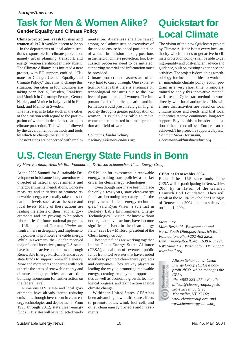# **Task for Men & Women Alike?**

**Gender Equality and Climate Policy**

**Climate protection: a task for men and women alike?** It wouldn't seem to be so – in the departments of local administrations responsible for climate protection, namely urban planning, transport, and energy, women are almost entirely absent. The Climate Alliance has initiated a new project, with EU support, entitled, "Climate for Change: Gender Equality and Climate Policy," that aims to change this situation. Ten cities in four countries are taking part: Berlin, Dresden, Frankfurt, and Munich in Germany; Ferrara, Genoa, Naples, and Venice in Italy; Lathi in Finland; and Malmö in Sweden.

The first step is to take stock in the cities of the situation with regard to the participation of women in decisions relating to climate protection. This will be followed by the development of methods and tools by which to change the situation. The next steps are concerned with implementation. Awareness shall be raised among local administration executives of the need to ensure balanced participation of women in decision-making positions in the field of climate protection, too. Discussion processes need to be initiated; supporting material and information must be provided.

Climate protection measures are often very hard to carry through. One explanation for this is that there is a reliance on technological measures due to the low level of participation of women. The important fields of public education and information would presumably gain higher priority through a greater participation of women. It is also desirable to make women more interested in climate protection as a field of work.

*Contact: Claudia Schury, c.schury@klimabuendnis.org.*

# **Quickstart for Local Climate**

The vision of the new Quickstart project by Climate Alliance is that every local authority which intends to get active in climate protection policy shall be able to get high-quality and cost-efficient advice and guidance, built on existing experience and activities. The project is developing a methodology for local authorities to work out an immediate climate policy action program in a very short time. Promoters, trained to apply this innovative method, will use the Quickstart method to work directly with local authorities. This will ensure that activities are based on local circumstances and needs, and that local authorities receive continuous, long-term support. Beyond this, a broader application of the method all over Europe can be achieved. The project is supported by EU. *Contact: Silva Herrmann, s.herrmann@klimabuendnis.org .*

# **U.S. Clean Energy State Funds in Bonn**

*By Marc Berthold, Heinrich Böll Foundation, & Allison Schumacher, Clean Energy Group*

At the 2002 Summit for Sustainable Development in Johannesburg, attention was directed at national governments and intergovernmental negotiations. Concrete measures and initiatives to promote renewable energy are actually taken on subnational levels such as at the state and local levels. Many of these actions are leading the efforts of their national governments and are proving to be policy laboratories for future national programs.

U.S. states and German *Länder* are frontrunners in designing and implementing policies to promote renewable energy. While in Germany the *Länder* received major federal incentives, many U.S. states have become active on their own through Renewable Energy Portfolio Standards or state funds to support renewable energy. More and more states cooperate with each other in the areas of renewable energy and climate change policies, and are thus building momentum for further action on the federal level.

Numerous U.S. state- and local governments have already started reducing emissions through investment in clean energy technologies and deployment. From 1998 through 2012, state clean-energy funds in 15 states will have collected nearly \$3.5 billion for investments in renewable energy, making state policies a market driver for clean energy technologies.

"Even though most have been in place for only a few years, state clean-energy funds are becoming key catalysts for the deployment of clean energy technologies," said Ryan Wiser, a scientist in Berkeley Lab's Environmental Energy Technologies Division. "Almost without notice, state-level actions have become significant drivers in the clean energy field," says Lew Milford, president of the Clean Energy Group.

These state funds are working together in the Clean Energy States Alliance (CESA), a coalition of seventeen public funds from twelve states that have banded together to promote clean energy projects and companies. They are key players in leading the way on promoting renewable energy, creating employment opportunities as well as economic growth, technological progress, and taking action against climate change.

Within the United States, CESA has been advancing new multi-state efforts to promote solar, wind, fuel-cell, and other clean energy projects and investments.

## **CESA at Renewables 2004**

Eight of these U.S. state funds of the CESA will be participating in Renewables 2004 by invitation of the German Heinrich Böll Foundation. They will speak at the Multi-Stakeholder Dialogue of Renewables 2004 and at a side event on June 1, 2004.

## *More info:*

*Marc Berthold, Environment and North-South Dialogue; Heinrich Böll Foundation; Ph: +202 462 2202, Email: marc@boell.org; 1638 R Street, NW; Suite 120; Washington, DC 20009; www.boell.org.*

CleanEnergy<br>Sicles Alliance  $\widehat{\circ}$ 

*Allison Schumacher, Clean Energy Group (CEG) a nonprofit NGO, which manages the CESA. Ph: +802 223-2554; Email:*

*allison@cleanegroup.org; 50 State Street, Suite 1; Montpelier, VT 05602; www.cleanegroup.org, and www.cleanenergystates.org.*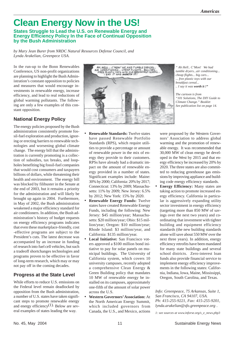# **Clean Energy Now in the US!**

**States Struggle to Lead the U.S. on Renewable Energy and Energy Efficiency Policy In the Face of Continual Opposition by the Bush Administration**

*by Mary Jean Burer from NRDC Natural Resources Defense Council, and Lynda Arakelian, Greenpece USA.*

In the run-up to the Bonn Renewables Conference, US non-profit organizations are planning to highlight the Bush Administration's constant opposition to policies and measures that would encourage investments in renewable energy, increase efficiency, and lead to real reductions of global warming pollutants. The following are only a few examples of this constant opposition.

## **National Energy Policy**

The energy policies proposed by the Bush administration consistently promote fossil-fuel exploration and production, ignoring or erecting barriers to renewable technologies and worsening global climate change. The energy bill that the administration is currently promoting is a collection of subsidies, tax breaks, and loopholes benefiting big fossil-fuel companies that would cost consumers and taxpayers billions of dollars, while threatening their health and environment. The energy bill was blocked by filibuster in the Senate at the end of 2003, but it remains a priority for the administration and will likely be brought up again in 2004. Furthermore, in May of 2002, the Bush administration weakened a major efficiency standard for air conditioners. In addition, the Bush administration's history of budget requests on energy efficiency programs indicates that even these marketplace-friendly, cost -effective programs are subject to the President's cuts. The latest decrease was accompanied by an increase in funding of research into fuel cell vehicles, but such a tradeoff shortchanges technologies and programs proven to be effective in favor of long-term research, which may or may not pay off in the coming decades.

## **Progress at the State Level**

While efforts to reduce U.S. emissions on the Federal level remain deadlocked by opposition from the Bush administration, a number of U.S. states have taken significant steps to promote renewable energy and energy efficiency<sup>(1)</sup>. Below are several examples of states leading the way.



*" Ah Hell.. C'Mon! We had tumble dryers...air conditioning... cheap flights... big cars... ... free plastic toys with our breakfast cereal... .. I say it was worth it !"*

*The cartoon is from "101 Solutions, The DIY Guide to Climate Change." Booklet See publication list on page 14.*

- **Renewable Standards:** Twelve states have passed Renewable Portfolio Standards (RPS), which require utilities to provide a percentage or amount of renewable power in the mix of energy they provide to their customers. RPSs have already had a dramatic impact on the amount of renewable energy provided in a number of states. Significant examples include: Maine: 30% by 2000; California: 20% by 2017; Connecticut: 13% by 2009; Massachusetts: 11% by 2009; New Jersey: 6.5% by 2012; New York: 15% by 2020.
- **Renewable Energy Funds:** Twelve states have created Renewable Energy Funds, including the following: New Jersey: \$45 million/year; Massachusetts: \$20 million/year; Ohio: \$15 million/year; Oregon: \$10 million/year; Rhode Island: \$3 million/year, and California: \$135 million/year.
- **Local Initiative:** San Francisco voters approved a \$100 million bond initiative to pay for solar panels on municipal buildings. The University of California system, which covers 10 university campuses, recently adopted a comprehensive Clean Energy & Green Building policy that mandates 10 MW of renewable energy be installed on its campuses, approximately one-fifth of the amount of solar power across the U.S.
- **Western Governors' Association:** At the North American Energy Summit, which included governors from Canada, the U.S., and Mexico, actions

were proposed by the Western Governors' Association to address global warming and the promotion of renewable energy. It was recommended that 30,000 MW of clean energy be developed in the West by 2015 and that energy efficiency be increased by 20% by 2020. The three states are also committed to reducing greenhouse gas emissions by improving appliance and building code energy efficiency standards.

**Energy Efficiency:** Many states are taking action to promote increased energy efficiency. California in particular is aggressively expanding utility sector investment in energy efficiency (targeting more than 850 MW of savings over the next two years) and coordinating that investment with tighter building and equipment efficiency standards (the new building standards alone will save about 550 MW over the next three years). In addition, energy efficiency retrofits have been mandated for many state buildings and several school districts.Zero-interest loan funds also provide financial service to implement energy efficiency improvements in the following states: California, Indiana, Iowa, Maine, Mississippi, Oregon, South Carolina, and Texas.

*Info: Greenpeace, 75 Arkansas, Suite 1, San Francisco, CA 94107, USA. Ph: 415-255-9221, Fax: 415-255-9201, lynda.arakelian@sfo.greenpeace.org .*

*1: see sources at www.inforse.org/s\_e\_news.php3*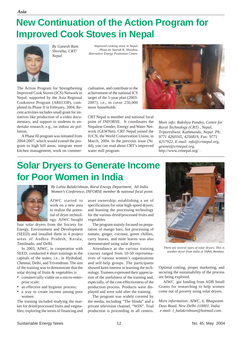# **New Continuation of the Action Program for Improved Cook Stoves in Nepal**



*By Ganesh Ram Shrestha, CRT/ Nepal*

*Improved cooking stove in Nepal. Photo by Saurab K. Shreshta, Alternative Energy Promotion Centre.*

The Action Program for Strengthening Improved Cook Stoves (ICS) Network in Nepal, supported by the Asia Regional Cookstove Program (ARECOP), completed its Phase II in February, 2004. Recent activities includes small grant for initiatives like production of a video documentary, and support to students to undertake research, e.g., on indoor air pollution.

A Phase III program was initiated from 2004-2007, which would extend the program to high hill areas, integrate more kitchen management, work on commercialisation, and contribute to the achievement of the national ICS target of the 5-year plan (2003- 2007), i.e., to cover 250,000 more households.

CRT Nepal is member and national focal point of INFORSE. It coordinates the Nepalese Gender, Energy and Water Network (GEWNet). CRT Nepal joined the IUCN, the World Conservation Union, in March, 2004. In the previous issue (Nr. 44), you can read about CRT's improved water mill program.



*More info: Rakshya Pandey, Centre for Rural Technology (CRT) , Nepal, Tripureshwor, Kathmandu, Nepal. Ph: 9771 4260165, 4256819, Fax: 9771 4257922, E-mail: info@crtnepal.org, gewnet@crtnepal.org,* http://www.crtnepal.org/ .

# **Solar Dryers to Generate Income for Poor Women in India**



AIWC started to

*By Lalita Balakrishnan, Rural Energy Department, All India Women's Conference, INFORSE member & national focal point.*

work on a new area to realize the potential of dryer technology. AIWC bought

four solar dryers from the Society for Energy, Environment and Development (SEED) and installed them in 4 project areas of Andhra Pradesh, Kerala, Tamilnadu, and Delhi.

In 2003, AIWC, in cooperation with SEED, conducted 4 short trainings in the capitals of the states; i.e., in Hydrabad, Chennai, Delhi, and Trivendrum. The aim of the training was to demonstrate that the solar drying of fruits & vegetables is

- commercially viable on a micro-enterprise scale;
- an effective and hygienic process;
- a way to create income among poor women.

The training included studying the market for dried/processed fruits and vegetables; exploring the terms of financing and asset ownership; establishing a set of specifications for solar high-speed dryers; and learning the processing technology for the various dried/processed fruits and vegetables.

The program mainly focused on preparation of mango bars, but processing of tomato, ginger, coconut, green chillies, curry leaves, and mint leaves was also demonstrated using solar dryers.

Attendance at the various training courses ranged from 10-50 representatives of various women's organizations and self-help groups. The participants showed keen interest in learning the technology. Trainees expressed their appreciation of the usefulness of the training and, especially, of the cost-effectiveness of the production process. Products were displayed and were sold after the training.

The program was widely covered by the media, including "The Hindu" and a private television channel, "WIN". Trial production is proceeding in all centers.



*There are several types of solar dryers. This is another dryer from India at TARA, Bombay.*

Optimal costing, proper marketing, and securing the sustainability of the process are being explored.

AIWC got funding from ADB Small Grants for researching to help women come out of poverty using solar dryers.

*More information: AIWC, 6, Bhagwann Dass Road, New Delhi-110001, India. e-mail: l\_balakrishnan@hotmail.com.*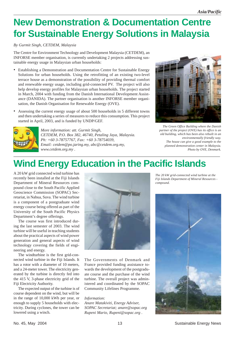# **New Demonstration & Documentation Centre for Sustainable Energy Solutions in Malaysia**

## *By Gurmit Singh, CETDEM, Malaysia*

The Centre for Environment Technology and Development Malaysia (CETDEM), an INFORSE member organisation, is currently undertaking 2 projects addressing sustainable energy usage in Malaysian urban households:

- Establishing a Demonstration and Documentation Centre for Sustainable Energy Solutions for urban households. Using the retrofitting of an existing two-level terrace house as a demonstration of the possibility of providing thermal comfort and renewable energy usage, including grid-connected PV. The project will also help develop energy profiles for Malaysian urban households. The project started in March, 2004 with funding from the Danish International Development Assistance (DANIDA). The partner organisation is another INFORSE member organisation, the Danish Organisation for Renewable Energy (OVE).
- Assessing the current energy usage of about 500 households in 5 different towns and then undertaking a series of measures to reduce this consumption. This project started in April, 2003, and is funded by UNDP/GEF.



*More information: att. Gurmit Singh, CETDEM, P.O. Box 382, 46740, Petaling Jaya, Malaysia. Ph: +60 3-78757767, Fax: +60 3-78754039, Email: cetdem@po.jaring.my, abc@cetdem.org.my, www.cetdem.org.my .*



*The Green Office Building where the Danish partner of the project (OVE) has its office is an old building, which has been also rebuilt in an environmentally friendly way. The house can give a good example to the planned demonstration center in Malaysia. Photo by OVE, Denmark.*

# **Wind Energy Education in the Pacific Islands**

A 20 kW grid connected wind turbine has recently been installed at the Fiji Islands Department of Mineral Resources compound close to the South Pacific Applied Geoscience Commission (SOPAC) Secretariat, in Nabua, Suva. The wind turbine is a component of a postgraduate wind energy course being offered as part of the University of the South Pacific Physics Department's degree offerings.

The course was first introduced during the last semester of 2003. The wind turbine will be useful in teaching students about the practical aspects of wind power generation and general aspects of wind technology covering the fields of engineering and energy.

The windturbine is the first grid-connected wind turbine in the Fiji Islands. It has a rotor with a diameter of 10 meters, and a 24-meter tower. The electricity generated by the turbine is directly fed into the 415 V, 3-phase electricity grid of the Fiji Electricity Authority.

The expected output of the turbine is of course dependent on the wind, but will be in the range of 10,000 kWh per year, or enough to supply 5 households with electricity. During cyclones, the tower can be lowered using a winch.



The Governments of Denmark and France provided funding assistance towards the development of the postgraduate course and the purchase of the wind turbine. The overall project was administered and coordinated by the SOPAC Community Lifelines Programme.

## *Information:*

*Anare Matakiviti, Energy Adviser, SOPAC Secretariat; anare@sopac.org Rupeni Mario, Rupeni@sopac.org .*

*The 20 kW grid-connected wind turbine at the Fiji Islands Department of Mineral Resources compound.*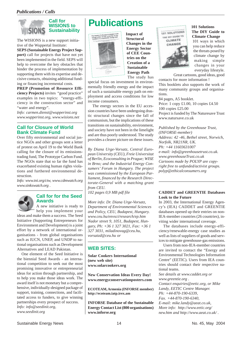## *Publications / Calls*



The WISIONS is a new support initiative of the Wuppertal Institute:

**SEPS (Sustainable Energy Project Support)** call for projects that have not yet been implemented in the field. SEPS will help to overcome the key obstacles that hinder the process of implementation by supporting them with its expertise and decisive contacts, obtaining additional funding or financing incremental costs.

**PREP (Promotion of Resource Efficiency Projects)** invites "good practice" examples in two topics: "energy-efficiency in the construction sector" and "water and energy".

*Info: carmen.dienst@wupperinst.org www.wupperinst.org, www.wisions.net*

## **Call for Closure of World Bank Climate Fund**

Over fifty environmental and social justice NGOs and other groups sent a letter of protest on April 19 to the World Bank calling for the closure of its emissionstrading fund, The Prototype Carbon Fund. The NGOs state that so far the fund has exacerbated existing human rights violations and furthered environmental destruction.

*Info: www.tni.org/ctw, www.cdmwatch.org www.sinkswatch.org .*



## **Call for for the Seed Awards**

A new initiative is ready to help you implement your ideas and make them a success. The Seed Initiative (Supporting Entrepreneurs for Environment and Development) is a joint effort by a network of international organisations - from global organisations such as IUCN, UNEP, and UNDP to national organisations such as Development Alternatives and LEAD Pakistan.

One element of the Seed Initiative is the biennial Seed Awards - an international competition to seek out the most promising innovative or entrepreneurial ideas for action through partnership, and to help you make those ideas work. The award itself is not monetary but a comprehensive, individually-designed package of support, training, connections, and facilitated access to funders, to give winning partnerships every prospect of success. *Info: info@seedinit.org, www.seedinit.org*

# **Publications**



**Impact of Structural Changes in the Energy Sector of CEE Countries on the Creation of a Sustainable Energy Path** The study has

special focus on investment in environmentally friendly energy and the impact of such a sustainable energy path on employment and access conditions for low income consumers.

The energy sectors in the EU accession countries have been undergoing drastic structural changes since the fall of communism, but the implications of these transitions on sustainability, environment, and society have not been in the limelight and are thus poorly understood. The study provides a clearer picture on these issues.

*By Diana Urge-Vorsatz, Central European University (CEU), Freie Universitat of Berlin, Ecoconsulting in Prague; WISE in Brno; and the Industrial Energy Consumers' Forum in Hungary. The project was commissioned by the European Parliament, financed by the Research Directorate-General with a matching grant from CEU.*

*102 pages 0,9 MB pdf file*

*More info: Dr. Diana Urge-Vorsatz, Department of Environmental Sciences and Policy, CEU, Budapest, Hungary. www.ceu.hu/envsci/research/ep.htm Nador street 9, 1051, Budapest, Hungary, Ph: +36 1 327 3021, Fax: +36 1 327 3031, miladinovag@ceu.hu, vorsatzd@ceu.hu or*

## **WEB SITES:**

**Solar Cookers International (new web site) www.solarcookers.org**

**New Conservation Ideas Every Day! www.energyconservationposters.com**

**ECOTEAM, Armenia (INFORSE member) http://ecoteam.iatp.irex.am**

**INFORSE Database of the Sustainable Energy Contact List (800 organisations) www.inforse.org**



**101 Solutions The DIY Guide to Climate Change**

101 ways in which you can help reduce the threats posed by climate change by making simple changes in your everyday lifestyle.

Great cartoons, good ideas, good contacts for more information !

This booklets also supports the work of many community groups and organisations.

84 pages, A5 booklet. Price: 1 copy £1.00, 10 copies £4.50 100 copies £25.00 Project is funded by The Naturesave Trust www.natursave.co.uk

*Published by the Greenhouse Trust, (INFORSE-member) Address: 42 -46, Bethel street, Norwich, Norfolk, NR21NR, UK. Ph: +44 11603631007 e-mail: info@greenhousetrust.co.uk. www.greenhouseTrust.co.uk Cartoons made by POLYP are copyright free to unfunded/activist groups. polyp@ethicalconsumers.org*

## **CADDET and GREENTIE Databases Look to the Future**

In 2003, the International Energy Agency's (IEA) CADDET and GREENTIE databases opened up their entries on non-IEA-member countries (26 countries), inviting wider international coverage.

The databases include energy-efficiency/renewable-energy case studies as well as lists of suppliers of goods and services to mitigate greenhouse-gas emissions.

Users from non-IEA-member countries are invited to contact the "Energy and Environmental Technologies Information Centre" (EETIC). Users from IEA countries should contact their respective national teams.

*See details at www.caddet.org or www.greentie.org . Contact enquiries@eetic.org, or Mike Landy, EETIC Centre Manager. Ph: +44-870-190-6339, Fax. +44-870-190-6340, E-mail: mike.landy@aeat.co.uk, More info: http://www.eetic.org/ new.htm and http://www.aeat.co.uk/ .*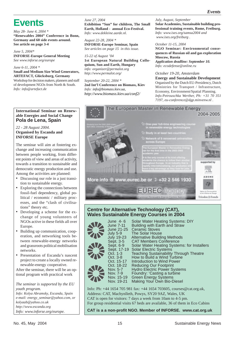# **Events**

*May 28- June 4, 2004 \** **"Renewables 2004" Conference in Bonn, Germany and 60 side events around. See article on page 3-4**

*June 5, 2004\** **INFORSE-Europe General Meeting** *See www.inforse.org/europe*

*June 6-11, 2004 \** **Small and Medium Size Wind Generators, ARTEFACT, Glücksburg, Germany** Workshop for decision makers, planners and staff of development NGOs from North & South. *Info: info@artefact.de*

## **International Seminar on Renewable Energies and Social Change Pola de Lena, Spain**

## *22 - 28 August 2004.* **Organised by Escanda and INFORSE Europe**

The seminar will aim at fostering exchange and increasing communication between people working, from different points of view and areas of activity, towards a transition to sustainable and democratic energy production and use. Among the activities are planned:

- Discussing our role in a just transition to sustainable energy.
- Exploring the connections between fossil-fuel dependency, global political / economic / military processes, and the "clash of civilisations" theory etc.
- Developing a scheme for the exchange of young volunteers of NGOs active in these fields all over Europe.
- Building up communication, cooperation, and networking tools between renewable-energy networks and grassroots political mobilisation networks.
- Presentation of Escanda's nascent project to create a locally owned renewable-energy cooperative.

After the seminar, there will be an optional program with practical work

*The seminar is supported by the EU youth program. Info: Kolya Abramsky, Escanda, Spain e-mail: energy\_seminar@yahoo.com, or kolyaab@yahoo.co.uk http://www.escanda.org Info: www.inforse.org/europe.*

*June 27, 2004* **Exhibition "Sun" for children, The Small Earth, Holland - annual Eco-Festival.** *Info: www.dekleine.aarde.nl.*

*August 22-28, 2004 \** **INFORSE-Europe Seminar, Spain** *See articles on page 15 in this issue.*

*15-22 of August '04* **1st European Natural Building Colloquium, Sun and Earth, Hungary** *info: organizer@permalot.org http://www.permalot.org/*

*September 20-22, 2004 \** **2nd Int'l Conference on Biomass, Kiev** *Info: info@biomass.kiev.ua, http://www.biomass.kiev.ua/conf2/*

*July, August, September* **Solar Academies, Sustainable building professional training events, Rome, Freiburg.** *Info: www.ises.org/samsa2004 and www.ises.org/freiburg .*

## *October 11-15, 2004*

**NGO Seminar: Environmental consequences of Russian oil and gas exploration Moscow, Russia** *Application deadline: September 10. Info: ecodefense@online.ru*

## *October 19-20, Amsterdam*

**Energy and Sustainable Development** Organised by the Dutch EU-Presidency, Dutch Ministries for Transport / Infrastructure, Economy, Environment/Spatial Planning. *Info:Petrouschka Werther, Ph: +31 70 351 7197, eu-conference@dgp.minvenw.nl .*



## **Centre for Alternative Technology (CAT), Wales Sustainable Energy Courses in 2004**

| June 4-6<br>June 7-11<br>June 21-25 | <b>Solar Water Heating Systems: DIY</b><br>Building with Earth and Straw<br><b>Ceramic Stoves</b> |
|-------------------------------------|---------------------------------------------------------------------------------------------------|
| <b>July 5-9</b>                     | The Solar House                                                                                   |
| <b>July 19-23</b>                   | Alternative Building Methods                                                                      |
| Sept. 3-5                           | <b>CAT Members Conference</b>                                                                     |
| Sept. 6-9                           | Solar Water Heating Systems: for Installers                                                       |
|                                     | Sept. 17-19 Solar Electric Systems                                                                |
| Oct. 1-3                            | <b>Teaching Sustainability Through Theatre</b>                                                    |
| Oct. 3-8                            | How to Build a Wind Turbine                                                                       |
| Oct. 15-17                          | Introduction to Wind Power                                                                        |
| Oct. 18-22                          | <b>Reducing Our Footprint</b>                                                                     |
| Nov. 5-7                            | <b>Hydro Electric Power Systems</b>                                                               |
| Nov. 7-9                            | Foundry: 'Casting a turbine                                                                       |
| Nov. 15-19                          | <b>Green Energy Systems</b>                                                                       |
| Nov. 19-21                          | Making Your Own Bio-Diesel                                                                        |
|                                     |                                                                                                   |

Info: Ph: +44 1654 705 981 fax: +44 1654 703605, courses@cat.org.uk, Address: CAT, Machynlleth, Powys, SY20 9AZ, Wales, UK CAT is open for visitors: 7 days a week from 10am to 4-5 pm. For group residential visits 67 beds are available, 36 of them in Eco Cabins

**CAT is a a non-profit NGO. Member of INFORSE. www.cat.org.uk**